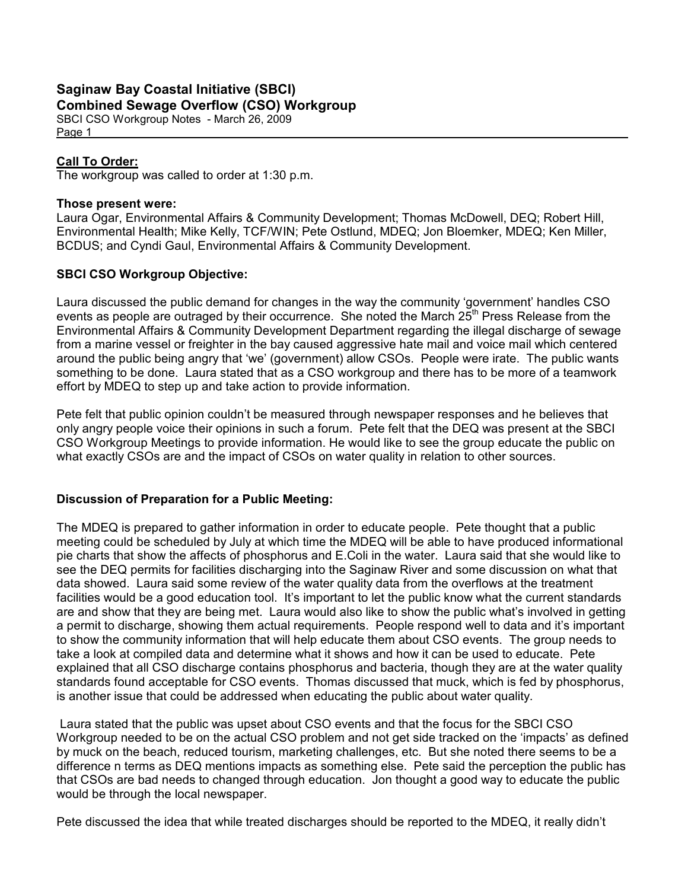# Saginaw Bay Coastal Initiative (SBCI) Combined Sewage Overflow (CSO) Workgroup

SBCI CSO Workgroup Notes - March 26, 2009 Page 1

# Call To Order:

The workgroup was called to order at 1:30 p.m.

## Those present were:

Laura Ogar, Environmental Affairs & Community Development; Thomas McDowell, DEQ; Robert Hill, Environmental Health; Mike Kelly, TCF/WIN; Pete Ostlund, MDEQ; Jon Bloemker, MDEQ; Ken Miller, BCDUS; and Cyndi Gaul, Environmental Affairs & Community Development.

# SBCI CSO Workgroup Objective:

Laura discussed the public demand for changes in the way the community 'government' handles CSO events as people are outraged by their occurrence. She noted the March  $25<sup>th</sup>$  Press Release from the Environmental Affairs & Community Development Department regarding the illegal discharge of sewage from a marine vessel or freighter in the bay caused aggressive hate mail and voice mail which centered around the public being angry that 'we' (government) allow CSOs. People were irate. The public wants something to be done. Laura stated that as a CSO workgroup and there has to be more of a teamwork effort by MDEQ to step up and take action to provide information.

Pete felt that public opinion couldn't be measured through newspaper responses and he believes that only angry people voice their opinions in such a forum. Pete felt that the DEQ was present at the SBCI CSO Workgroup Meetings to provide information. He would like to see the group educate the public on what exactly CSOs are and the impact of CSOs on water quality in relation to other sources.

# Discussion of Preparation for a Public Meeting:

The MDEQ is prepared to gather information in order to educate people. Pete thought that a public meeting could be scheduled by July at which time the MDEQ will be able to have produced informational pie charts that show the affects of phosphorus and E.Coli in the water. Laura said that she would like to see the DEQ permits for facilities discharging into the Saginaw River and some discussion on what that data showed. Laura said some review of the water quality data from the overflows at the treatment facilities would be a good education tool. It's important to let the public know what the current standards are and show that they are being met. Laura would also like to show the public what's involved in getting a permit to discharge, showing them actual requirements. People respond well to data and it's important to show the community information that will help educate them about CSO events. The group needs to take a look at compiled data and determine what it shows and how it can be used to educate. Pete explained that all CSO discharge contains phosphorus and bacteria, though they are at the water quality standards found acceptable for CSO events. Thomas discussed that muck, which is fed by phosphorus, is another issue that could be addressed when educating the public about water quality.

 Laura stated that the public was upset about CSO events and that the focus for the SBCI CSO Workgroup needed to be on the actual CSO problem and not get side tracked on the 'impacts' as defined by muck on the beach, reduced tourism, marketing challenges, etc. But she noted there seems to be a difference n terms as DEQ mentions impacts as something else. Pete said the perception the public has that CSOs are bad needs to changed through education. Jon thought a good way to educate the public would be through the local newspaper.

Pete discussed the idea that while treated discharges should be reported to the MDEQ, it really didn't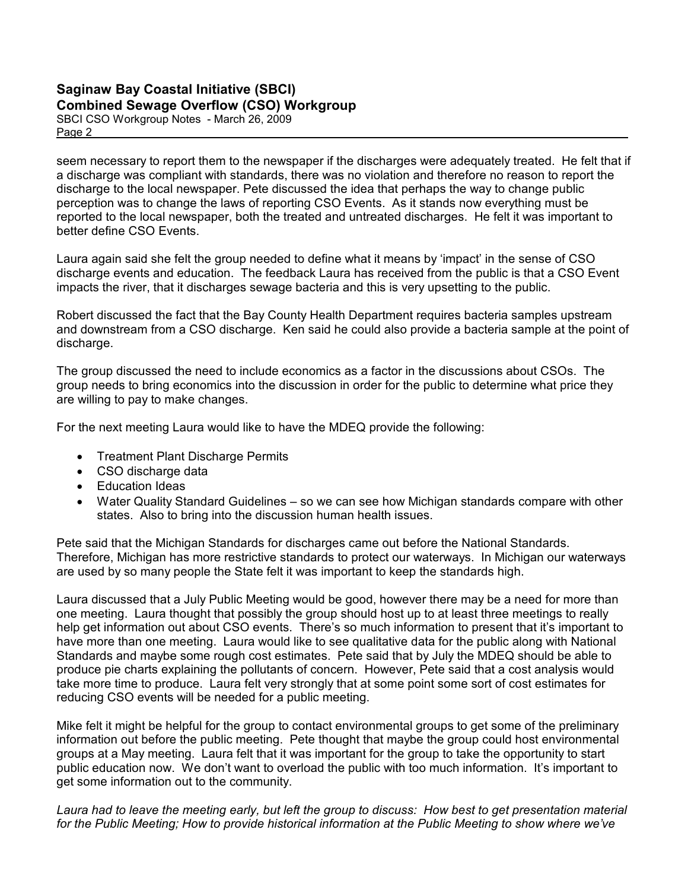# Saginaw Bay Coastal Initiative (SBCI) Combined Sewage Overflow (CSO) Workgroup

SBCI CSO Workgroup Notes - March 26, 2009 Page 2

seem necessary to report them to the newspaper if the discharges were adequately treated. He felt that if a discharge was compliant with standards, there was no violation and therefore no reason to report the discharge to the local newspaper. Pete discussed the idea that perhaps the way to change public perception was to change the laws of reporting CSO Events. As it stands now everything must be reported to the local newspaper, both the treated and untreated discharges. He felt it was important to better define CSO Events.

Laura again said she felt the group needed to define what it means by 'impact' in the sense of CSO discharge events and education. The feedback Laura has received from the public is that a CSO Event impacts the river, that it discharges sewage bacteria and this is very upsetting to the public.

Robert discussed the fact that the Bay County Health Department requires bacteria samples upstream and downstream from a CSO discharge. Ken said he could also provide a bacteria sample at the point of discharge.

The group discussed the need to include economics as a factor in the discussions about CSOs. The group needs to bring economics into the discussion in order for the public to determine what price they are willing to pay to make changes.

For the next meeting Laura would like to have the MDEQ provide the following:

- Treatment Plant Discharge Permits
- CSO discharge data
- Education Ideas
- Water Quality Standard Guidelines so we can see how Michigan standards compare with other states. Also to bring into the discussion human health issues.

Pete said that the Michigan Standards for discharges came out before the National Standards. Therefore, Michigan has more restrictive standards to protect our waterways. In Michigan our waterways are used by so many people the State felt it was important to keep the standards high.

Laura discussed that a July Public Meeting would be good, however there may be a need for more than one meeting. Laura thought that possibly the group should host up to at least three meetings to really help get information out about CSO events. There's so much information to present that it's important to have more than one meeting. Laura would like to see qualitative data for the public along with National Standards and maybe some rough cost estimates. Pete said that by July the MDEQ should be able to produce pie charts explaining the pollutants of concern. However, Pete said that a cost analysis would take more time to produce. Laura felt very strongly that at some point some sort of cost estimates for reducing CSO events will be needed for a public meeting.

Mike felt it might be helpful for the group to contact environmental groups to get some of the preliminary information out before the public meeting. Pete thought that maybe the group could host environmental groups at a May meeting. Laura felt that it was important for the group to take the opportunity to start public education now. We don't want to overload the public with too much information. It's important to get some information out to the community.

Laura had to leave the meeting early, but left the group to discuss: How best to get presentation material for the Public Meeting; How to provide historical information at the Public Meeting to show where we've